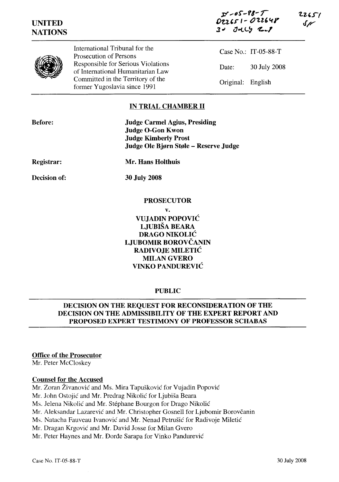



International Tribunal for the Prosecution of Persons Responsible for Serious Violations of International Humanitarian Law Committed in the Territory of the former Yugoslavia since 1991

Case No.: IT-05-88-T Date: 30 July 2008 Original: English

# **IN TRIAL CHAMBER II**

| <b>Before:</b>    | <b>Judge Carmel Agius, Presiding</b>  |
|-------------------|---------------------------------------|
|                   | <b>Judge O-Gon Kwon</b>               |
|                   | <b>Judge Kimberly Prost</b>           |
|                   | Judge Ole Bjørn Støle – Reserve Judge |
| <b>Registrar:</b> | Mr. Hans Holthuis                     |
| Decision of:      | <b>30 July 2008</b>                   |

### **PROSECUTOR**

**v.**

**VUJADIN** POPOVIĆ **LJUBIŠA BEARA DRAGO** NIKOLIĆ **LJUBOMIR** BOROVČANIN **RADIVOJE** MILETIĆ MILAN GVERO **VINKO** PANDUREVIĆ

## **PUBLIC**

# **DECISION ON THE REQUEST FOR RECONSIDERATION OF THE DECISION ON THE ADMISSIBILITY OF THE EXPERT REPORT AND PROPOSED EXPERT TESTIMONY OF PROFESSOR SCHABAS**

## **Office of the Prosecutor**

Mr. Peter McCloskey

#### **Counsel for the Accused**

Mr. Zoran Živanović and Ms. Mira Tapušković for Vujadin Popović

Mr. John Ostojić and Mr. Predrag Nikolić for Ljubiša Beara

Ms. Jelena Nikolić and Mr. Stephane Bourgon for Drago Nikolić

Mr. Aleksandar Lazarević and Mr. Christopher Gosnell for Ljubomir Borovčanin

Ms. Natacha Fauveau Ivanović and Mr. Nenad Petrušić for Radivoje Miletić

Mr. Dragan Krgović and Mr. David Josse for Milan Gvero

Mr. Peter Haynes and Mr. Đorđe Sarapa for Vinko Pandurević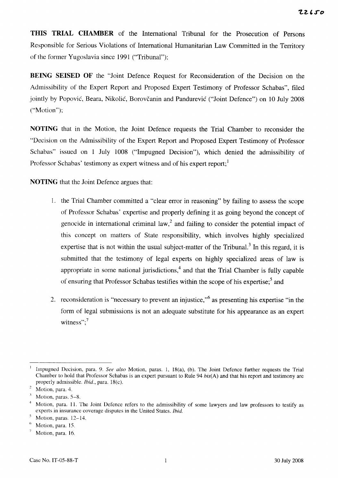THIS TRIAL CHAMBER of the International Tribunal for the Prosecution of Persons Responsible for Serious Violations of International Humanitarian Law Committed in the Territory of the former Yugoslavia since 1991 ("Tribunal");

**BEING SEISED OF** the "Joint Defence Request for Reconsideration of the Decision on the Admissibility of the Expert Report and Proposed Expert Testimony of Professor Schabas", filed jointly by Popović, Beara, Nikolić, Borovčanin and Pandurević ("Joint Defence") on 10 July 2008 ("Motion");

NOTING that in the Motion, the Joint Defence requests the Trial Chamber to reconsider the "Decision on the Admissibility of the Expert Report and Proposed Expert Testimony of Professor Schabas" issued on 1 July 1008 ("Impugned Decision"), which denied the admissibility of Professor Schabas' testimony as expert witness and of his expert report;

**NOTING** that the Joint Defence argues that:

- 1. the Trial Chamber committed a "clear error in reasoning" by failing to assess the scope of Professor Schabas' expertise and properly defining it as going beyond the concept of genocide in international criminal law,<sup>2</sup> and failing to consider the potential impact of this concept on matters of State responsibility, which involves highly specialized expertise that is not within the usual subject-matter of the Tribunal.<sup>3</sup> In this regard, it is submitted that the testimony of legal experts on highly specialized areas of law is appropriate in some national jurisdictions,<sup>4</sup> and that the Trial Chamber is fully capable of ensuring that Professor Schabas testifies within the scope of his expertise;<sup>5</sup> and
- 2. reconsideration is "necessary to prevent an injustice," as presenting his expertise "in the form of legal submissions is not an adequate substitute for his appearance as an expert witness"; $^7$

 $\overline{1}$ Impugned Decision, para. 9. See also Motion, paras. 1, 18(a), (b). The Joint Defence further requests the Trial Chamber to hold that Professor Schabas is an expert pursuant to Rule 94  $bis(A)$  and that his report and testimony are properly admissible. *Ibid.*, para. 18(c).

 $\overline{c}$ Motion, para. 4.

Motion, paras. 5-8.

 $\overline{4}$ Motion, para. 11. The Joint Defence refers to the admissibility of some lawyers and law professors to testify as experts in insurance coverage disputes in the United States. Ibid.

Motion, paras. 12-14.

 $\theta$ Motion, para. 15.

 $\bar{7}$ Motion, para. 16.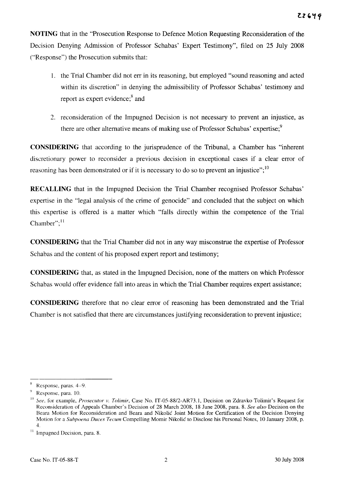NOTING that in the "Prosecution Response to Defence Motion Requesting Reconsideration of the Decision Denying Admission of Professor Schabas' Expert Testimony", filed on 25 July 2008 ("Response") the Prosecution submits that:

- 1. the Trial Chamber did not err in its reasoning, but employed "sound reasoning and acted" within its discretion" in denying the admissibility of Professor Schabas' testimony and report as expert evidence;<sup>8</sup> and
- 2. reconsideration of the Impugned Decision is not necessary to prevent an injustice, as there are other alternative means of making use of Professor Schabas' expertise;<sup>9</sup>

**CONSIDERING** that according to the jurisprudence of the Tribunal, a Chamber has "inherent discretionary power to reconsider a previous decision in exceptional cases if a clear error of reasoning has been demonstrated or if it is necessary to do so to prevent an injustice";<sup>10</sup>

**RECALLING** that in the Impugned Decision the Trial Chamber recognised Professor Schabas' expertise in the "legal analysis of the crime of genocide" and concluded that the subject on which this expertise is offered is a matter which "falls directly within the competence of the Trial Chamber";<sup>11</sup>

**CONSIDERING** that the Trial Chamber did not in any way misconstrue the expertise of Professor Schabas and the content of his proposed expert report and testimony;

**CONSIDERING** that, as stated in the Impugned Decision, none of the matters on which Professor Schabas would offer evidence fall into areas in which the Trial Chamber requires expert assistance;

**CONSIDERING** therefore that no clear error of reasoning has been demonstrated and the Trial Chamber is not satisfied that there are circumstances justifying reconsideration to prevent injustice;

Response, paras. 4-9.

Response, para. 10.

See, for example, Prosecutor v. Tolimir, Case No. IT-05-88/2-AR73.1, Decision on Zdravko Tolimir's Request for Reconsideration of Appeals Chamber's Decision of 28 March 2008, 18 June 2008, para. 8. See also Decision on the Beara Motion for Reconsideration and Beara and Nikolić Joint Motion for Certification of the Decision Denving Motion for a Subpoena Duces Tecum Compelling Momir Nikolić to Disclose his Personal Notes, 10 January 2008, p.  $4.$ 

<sup>&</sup>lt;sup>11</sup> Impugned Decision, para. 8.